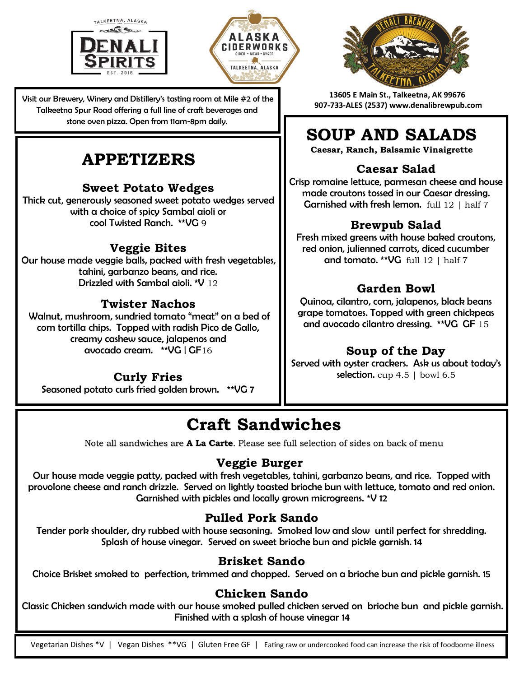



Visit our Brewery, Winery and Distillery's tasting room at Mile #2 of the Talkeetna Spur Road offering a full line of craft beverages and stone oven pizza. Open from 11am-8pm daily.

## **APPETIZERS Caesar Salad**

#### **Sweet Potato Wedges**

Thick cut, generously seasoned sweet potato wedges served with a choice of spicy Sambal aioli or cool Twisted Ranch. \*\*VG 9

#### **Veggie Bites**

Our house made veggie balls, packed with fresh vegetables, tahini, garbanzo beans, and rice. Drizzled with Sambal aioli. \*V 12

#### **Twister Nachos**

Walnut, mushroom, sundried tomato "meat" on a bed of corn tortilla chips. Topped with radish Pico de Gallo, creamy cashew sauce, jalapenos and avocado cream. \*\*VG | GF16

#### **Curly Fries**

Seasoned potato curls fried golden brown. \*\*VG 7



**13605 E Main St., Talkeetna, AK 99676 907-733-ALES (2537) www.denalibrewpub.com**

## **SOUP AND SALADS**

**Caesar, Ranch, Balsamic Vinaigrette**

Crisp romaine lettuce, parmesan cheese and house made croutons tossed in our Caesar dressing. **Garnished with fresh lemon.** full  $12 \mid$  half  $7$ 

#### **Brewpub Salad**

Fresh mixed greens with house baked croutons, red onion, julienned carrots, diced cucumber and tomato. \*\* VG full  $12 \mid \text{half } 7$ 

#### **Garden Bowl**

Quinoa, cilantro, corn, jalapenos, black beans grape tomatoes. Topped with green chickpeas and avocado cilantro dressing. \*\*VG GF 15

#### **Soup of the Day**

Served with oyster crackers. Ask us about today's selection.  $cup 4.5$  | bowl  $6.5$ 

## **Craft Sandwiches**

Note all sandwiches are **A La Carte**. Please see full selection of sides on back of menu

#### **Veggie Burger**

Our house made veggie patty, packed with fresh vegetables, tahini, garbanzo beans, and rice. Topped with provolone cheese and ranch drizzle. Served on lightly toasted brioche bun with lettuce, tomato and red onion. Garnished with pickles and locally grown microgreens. \*V 12

#### **Pulled Pork Sando**

Tender pork shoulder, dry rubbed with house seasoning. Smoked low and slow until perfect for shredding. Splash of house vinegar. Served on sweet brioche bun and pickle garnish. 14

#### **Brisket Sando**

Choice Brisket smoked to perfection, trimmed and chopped. Served on a brioche bun and pickle garnish. 15

#### **Chicken Sando**

Classic Chicken sandwich made with our house smoked pulled chicken served on brioche bun and pickle garnish. Finished with a splash of house vinegar 14